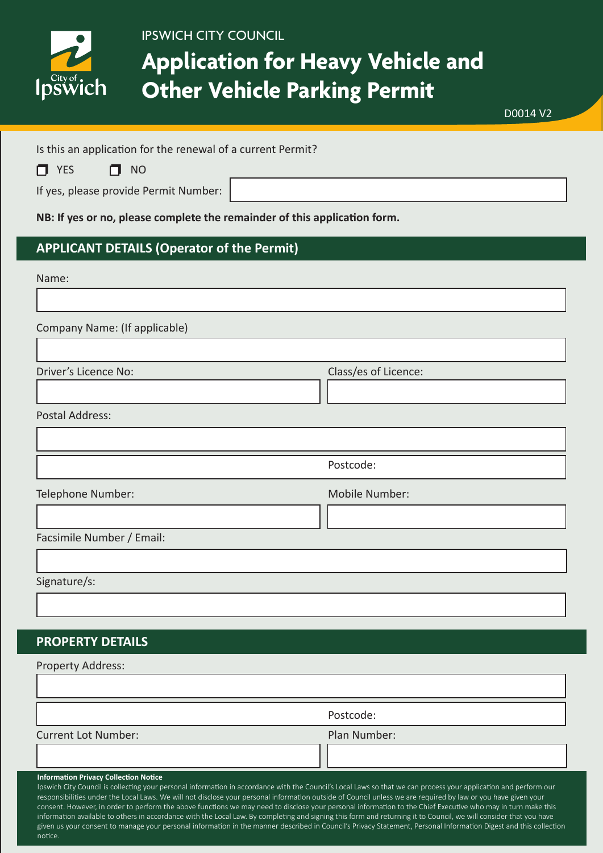

## **Application for Heavy Vehicle and Other Vehicle Parking Permit**

D0014 V2

Is this an application for the renewal of a current Permit?

|  | $\Box$ YES |  | $\Box$ NO |
|--|------------|--|-----------|
|--|------------|--|-----------|

If yes, please provide Permit Number:

**NB: If yes or no, please complete the remainder of this application form.**

## **APPLICANT DETAILS (Operator of the Permit)**

#### Name:

Company Name: (If applicable)

Class/es of Licence:

Postal Address:

|                   | Postcode:      |
|-------------------|----------------|
| Telephone Number: | Mobile Number: |

Facsimile Number / Email:

Signature/s:

notice.

## **PROPERTY DETAILS**

| <b>Property Address:</b>                                                                                                                                                                                                                                                                                                                                                                                                                                                                                                                                                                                                                                                                                                                                                                                                                                                                    |              |
|---------------------------------------------------------------------------------------------------------------------------------------------------------------------------------------------------------------------------------------------------------------------------------------------------------------------------------------------------------------------------------------------------------------------------------------------------------------------------------------------------------------------------------------------------------------------------------------------------------------------------------------------------------------------------------------------------------------------------------------------------------------------------------------------------------------------------------------------------------------------------------------------|--------------|
|                                                                                                                                                                                                                                                                                                                                                                                                                                                                                                                                                                                                                                                                                                                                                                                                                                                                                             |              |
|                                                                                                                                                                                                                                                                                                                                                                                                                                                                                                                                                                                                                                                                                                                                                                                                                                                                                             | Postcode:    |
| <b>Current Lot Number:</b>                                                                                                                                                                                                                                                                                                                                                                                                                                                                                                                                                                                                                                                                                                                                                                                                                                                                  | Plan Number: |
|                                                                                                                                                                                                                                                                                                                                                                                                                                                                                                                                                                                                                                                                                                                                                                                                                                                                                             |              |
| <b>Information Privacy Collection Notice</b><br>Ipswich City Council is collecting your personal information in accordance with the Council's Local Laws so that we can process your application and perform our<br>responsibilities under the Local Laws. We will not disclose your personal information outside of Council unless we are required by law or you have given your<br>consent. However, in order to perform the above functions we may need to disclose your personal information to the Chief Executive who may in turn make this<br>information available to others in accordance with the Local Law. By completing and signing this form and returning it to Council, we will consider that you have<br>given us your consent to manage your personal information in the manner described in Council's Privacy Statement, Personal Information Digest and this collection |              |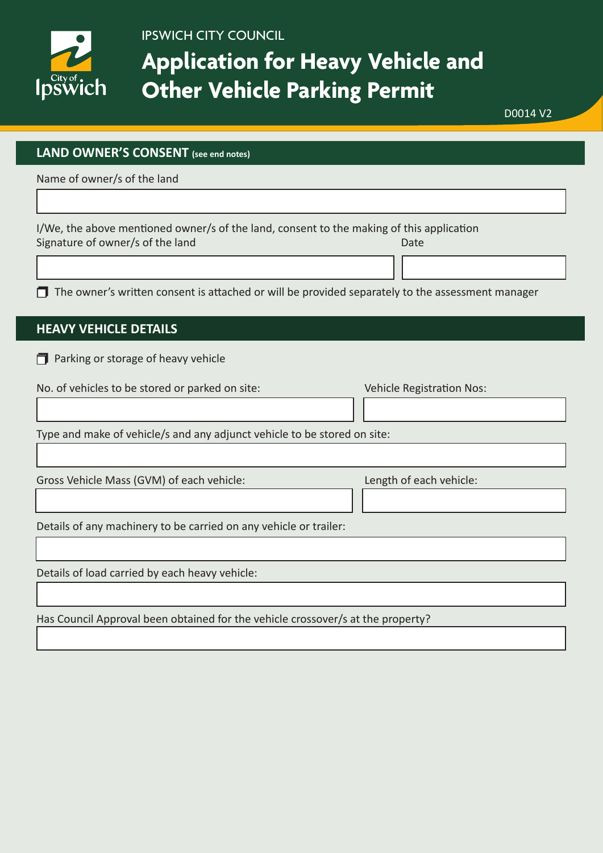

## **Application for Heavy Vehicle and Other Vehicle Parking Permit**

D0014 V2

#### **LAND OWNER'S CONSENT (see end notes)**

Name of owner/s of the land

I/We, the above mentioned owner/s of the land, consent to the making of this application Signature of owner/s of the land Date Date Date Date Date

 $\Box$  The owner's written consent is attached or will be provided separately to the assessment manager

### **HEAVY VEHICLE DETAILS**

 $\Box$  Parking or storage of heavy vehicle

|                                                                          | Vehicle Registration Nos: |  |  |
|--------------------------------------------------------------------------|---------------------------|--|--|
|                                                                          |                           |  |  |
| Type and make of vehicle/s and any adjunct vehicle to be stored on site: |                           |  |  |

Gross Vehicle Mass (GVM) of each vehicle: Length of each vehicle:

Details of any machinery to be carried on any vehicle or trailer:

Details of load carried by each heavy vehicle:

Has Council Approval been obtained for the vehicle crossover/s at the property?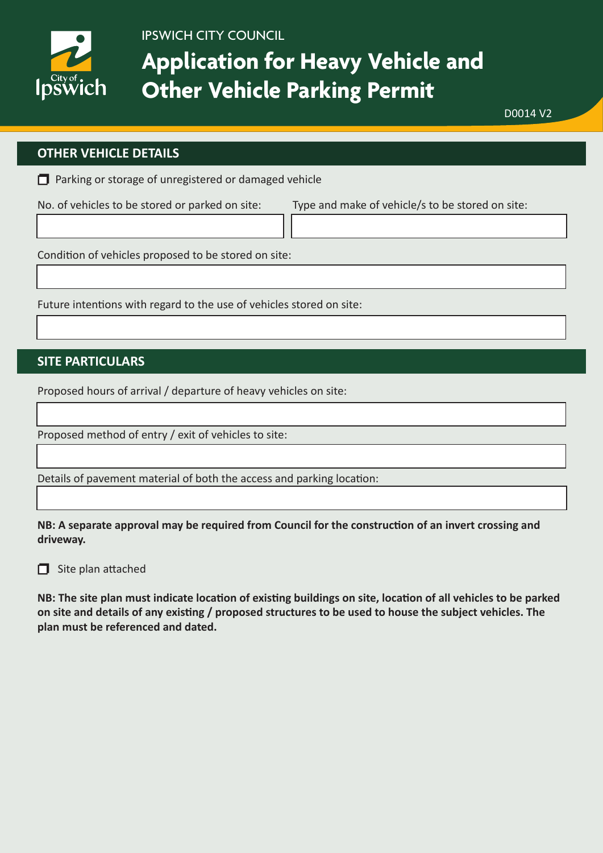

## **Application for Heavy Vehicle and Other Vehicle Parking Permit**

D0014 V2

### **OTHER VEHICLE DETAILS**

 $\Box$  Parking or storage of unregistered or damaged vehicle

No. of vehicles to be stored or parked on site: Type and make of vehicle/s to be stored on site:

Condition of vehicles proposed to be stored on site:

Future intentions with regard to the use of vehicles stored on site:

## **SITE PARTICULARS**

Proposed hours of arrival / departure of heavy vehicles on site:

Proposed method of entry / exit of vehicles to site:

Details of pavement material of both the access and parking location:

**NB: A separate approval may be required from Council for the construction of an invert crossing and driveway.**

 $\Box$  Site plan attached

**NB: The site plan must indicate location of existing buildings on site, location of all vehicles to be parked on site and details of any existing / proposed structures to be used to house the subject vehicles. The plan must be referenced and dated.**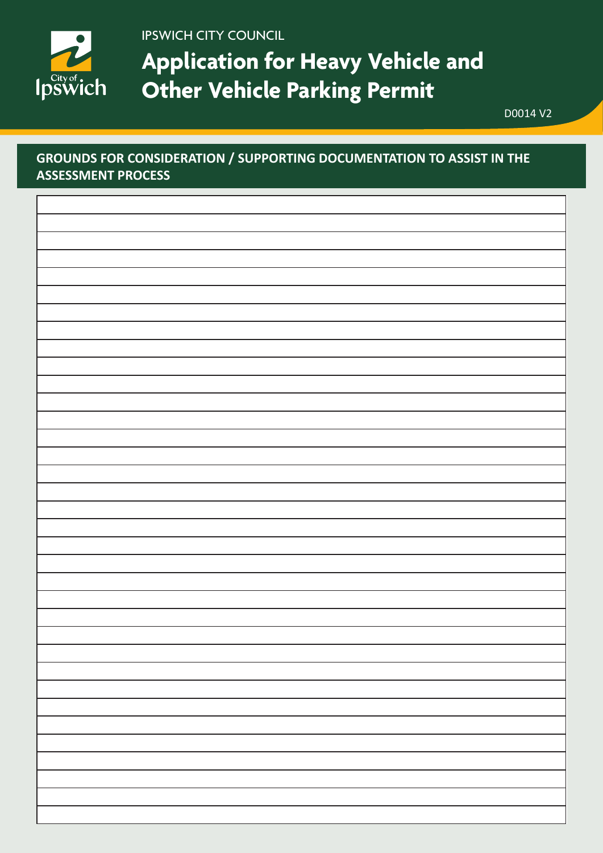

**Application for Heavy Vehicle and Other Vehicle Parking Permit**

D0014 V2

## **GROUNDS FOR CONSIDERATION / SUPPORTING DOCUMENTATION TO ASSIST IN THE ASSESSMENT PROCESS**